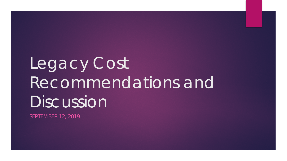# Legacy Cost Recommendations and Discussion

SEPTEMBER 12, 2019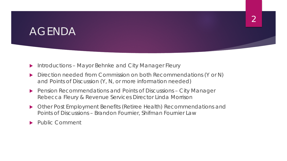#### AGENDA

- ▶ Introductions Mayor Behnke and City Manager Fleury
- Direction needed from Commission on both Recommendations (Y or N) and Points of Discussion (Y, N, or more information needed)
- Pension Recommendations and Points of Discussions City Manager Rebecca Fleury & Revenue Services Director Linda Morrison
- Other Post Employment Benefits (Retiree Health) Recommendations and Points of Discussions – Brandon Fournier, Shifman Fournier Law

Public Comment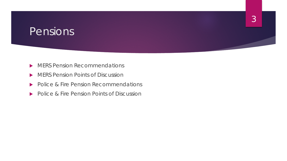#### Pensions

- **MERS Pension Recommendations**
- **MERS Pension Points of Discussion**
- Police & Fire Pension Recommendations
- Police & Fire Pension Points of Discussion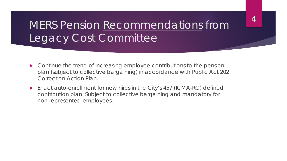## MERS Pension Recommendations from Legacy Cost Committee

- ▶ Continue the trend of increasing employee contributions to the pension plan (subject to collective bargaining) in accordance with Public Act 202 Correction Action Plan.
- ▶ Enact auto-enrollment for new hires in the City's 457 (ICMA-RC) defined contribution plan. Subject to collective bargaining and mandatory for non-represented employees.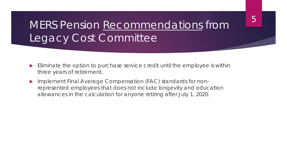## MERS Pension Recommendations from Legacy Cost Committee

- Eliminate the option to purchase service credit until the employee is within three years of retirement.
- **Implement Final Average Compensation (FAC) standards for non**represented employees that does not include longevity and education allowances in the calculation for anyone retiring after July 1, 2020.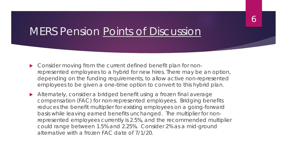## MERS Pension Points of Discussion

- ▶ Consider moving from the current defined benefit plan for nonrepresented employees to a hybrid for new hires. There may be an option, depending on the funding requirements, to allow active non-represented employees to be given a one-time option to convert to this hybrid plan.
- Alternately, consider a bridged benefit using a frozen final average compensation (FAC) for non-represented employees. Bridging benefits reduces the benefit multiplier for existing employees on a going-forward basis while leaving earned benefits unchanged. The multiplier for nonrepresented employees currently is 2.5%, and the recommended multiplier could range between 1.5% and 2.25%. Consider 2% as a mid-ground alternative with a frozen FAC date of 7/1/20.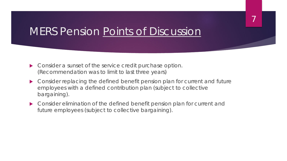## MERS Pension Points of Discussion

- Consider a sunset of the service credit purchase option. (Recommendation was to limit to last three years)
- Consider replacing the defined benefit pension plan for current and future employees with a defined contribution plan (subject to collective bargaining).

7

 Consider elimination of the defined benefit pension plan for current and future employees (subject to collective bargaining).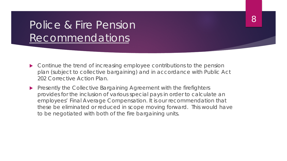## Police & Fire Pension Recommendations

▶ Continue the trend of increasing employee contributions to the pension plan (subject to collective bargaining) and in accordance with Public Act 202 Corrective Action Plan.

8

**Presently the Collective Bargaining Agreement with the firefighters** provides for the inclusion of various special pays in order to calculate an employees' Final Average Compensation. It is our recommendation that these be eliminated or reduced in scope moving forward. This would have to be negotiated with both of the fire bargaining units.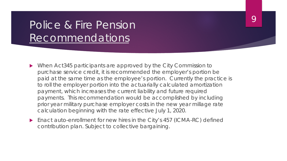## Police & Fire Pension Recommendations

- ▶ When Act345 participants are approved by the City Commission to purchase service credit, it is recommended the employer's portion be paid at the same time as the employee's portion. Currently the practice is to roll the employer portion into the actuarially calculated amortization payment, which increases the current liability and future required payments. This recommendation would be accomplished by including prior year military purchase employer costs in the new year millage rate calculation beginning with the rate effective July 1, 2020.
- Enact auto-enrollment for new hires in the City's 457 (ICMA-RC) defined contribution plan. Subject to collective bargaining.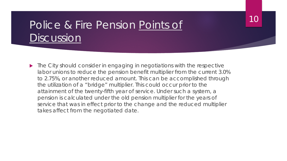## Police & Fire Pension Points of **Discussion**

▶ The City should consider in engaging in negotiations with the respective labor unions to reduce the pension benefit multiplier from the current 3.0% to 2.75%, or another reduced amount. This can be accomplished through the utilization of a "bridge" multiplier. This could occur prior to the attainment of the twenty-fifth year of service. Under such a system, a pension is calculated under the old pension multiplier for the years of service that was in effect prior to the change and the reduced multiplier takes affect from the negotiated date.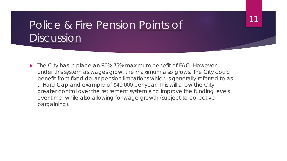## Police & Fire Pension Points of **Discussion**

▶ The City has in place an 80%-75% maximum benefit of FAC. However, under this system as wages grow, the maximum also grows. The City could benefit from fixed dollar pension limitations which is generally referred to as a Hard Cap and example of \$40,000 per year. This will allow the City greater control over the retirement system and improve the funding levels over time, while also allowing for wage growth (subject to collective bargaining).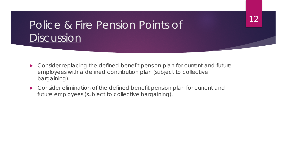## Police & Fire Pension Points of **Discussion**

▶ Consider replacing the defined benefit pension plan for current and future employees with a defined contribution plan (subject to collective bargaining).

12

 Consider elimination of the defined benefit pension plan for current and future employees (subject to collective bargaining).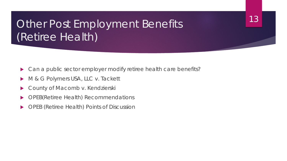## Other Post Employment Benefits (Retiree Health)

▶ Can a public sector employer modify retiree health care benefits?

- M & G Polymers USA, LLC v. Tackett
- County of Macomb v. Kendzierski
- ▶ OPEB(Retiree Health) Recommendations
- ▶ OPEB (Retiree Health) Points of Discussion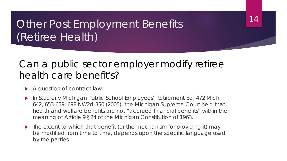## Other Post Employment Benefits (Retiree Health)

#### Can a public sector employer modify retiree health care benefit's?

- A question of contract law:
- In Studier v Michigan Public School Employees' Retirement Bd, 472 Mich 642, 653-659; 698 NW2d 350 (2005), the Michigan Supreme Court held that health and welfare benefits are not "accrued financial benefits" within the meaning of Article 9 §24 of the Michigan Constitution of 1963.
- $\blacktriangleright$  The extent to which that benefit (or the mechanism for providing it) may be modified from time to time, depends upon the specific language used by the parties.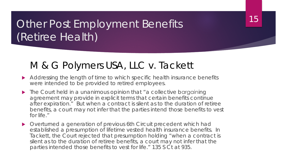## **Other Post Employment Benefits** (Retiree Health)

#### M & G Polymers USA, LLC v. Tackett

Addressing the length of time to which specific health insurance benefits were intended to be provided to retired employees.

- ▶ The Court held in a unanimous opinion that "a collective bargaining agreement may provide in explicit terms that certain benefits continue after expiration." But when a contract is silent as to the duration of retiree benefits, a court may not infer that the parties intend those benefits to vest for life."
- Overturned a generation of previous 6th Circuit precedent which had established a presumption of lifetime vested health insurance benefits. In Tackett, the Court rejected that presumption holding "when a contract is silent as to the duration of retiree benefits, a court may not infer that the parties intended those benefits to vest for life." 135 S Ct at 935.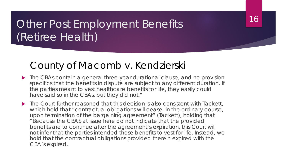## Other Post Employment Benefits (Retiree Health)

#### County of Macomb v. Kendzierski

▶ The CBAs contain a general three-year durational clause, and no provision specifics that the benefits in dispute are subject to any different duration. If the parties meant to vest healthcare benefits for life, they easily could have said so in the CBAs, but they did not."

16

▶ The Court further reasoned that this decision is also consistent with Tackett, which held that "contractual obligations will cease, in the ordinary course, upon termination of the bargaining agreement" (Tackett), holding that "Because the CBAS at issue here do not indicate that the provided benefits are to continue after the agreement's expiration, this Court will not infer that the parties intended those benefits to vest for life. Instead, we hold that the contractual obligations provided therein expired with the CBA's expired.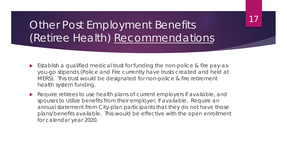17

## Other Post Employment Benefits (Retiree Health) Recommendations

- Establish a qualified medical trust for funding the non-police & fire pay-asyou-go stipends (Police and Fire currently have trusts created and held at MERS). This trust would be designated for non-police & fire retirement health system funding.
- Require retirees to use health plans of current employers if available, and spouses to utilize benefits from their employer, if available. Require an annual statement from City-plan participants that they do not have those plans/benefits available. This would be effective with the open enrollment for calendar year 2020.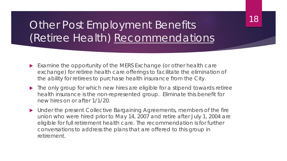## Other Post Employment Benefits (Retiree Health) Recommendations

- Examine the opportunity of the MERS Exchange (or other health care exchange) for retiree health care offerings to facilitate the elimination of the ability for retirees to purchase health insurance from the City.
- The only group for which new hires are eligible for a stipend towards retiree health insurance is the non-represented group. Eliminate this benefit for new hires on or after 1/1/20.
- Under the present Collective Bargaining Agreements, members of the fire union who were hired prior to May 14, 2007 and retire after July 1, 2004 are eligible for full retirement health care. The recommendation is for further conversations to address the plans that are offered to this group in retirement.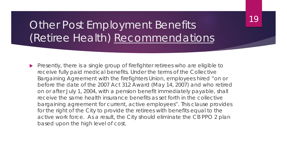## Other Post Employment Benefits (Retiree Health) Recommendations

Presently, there is a single group of firefighter retirees who are eligible to receive fully paid medical benefits. Under the terms of the Collective Bargaining Agreement with the firefighters Union, employees hired "on or before the date of the 2007 Act 312 Award (May 14, 2007) and who retired on or after July 1, 2004, with a pension benefit immediately payable, shall receive the same health insurance benefits as set forth in the collective bargaining agreement for current, active employees". This clause provides for the right of the City to provide the retirees with benefits equal to the active work force. As a result, the City should eliminate the CB PPO 2 plan based upon the high level of cost.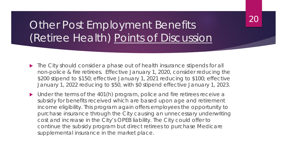## Other Post Employment Benefits (Retiree Health) Points of Discussion

▶ The City should consider a phase out of health insurance stipends for all non-police & fire retirees. Effective January 1, 2020, consider reducing the \$200 stipend to \$150; effective January 1, 2021 reducing to \$100; effective January 1, 2022 reducing to \$50, with \$0 stipend effective January 1, 2023.

20

• Under the terms of the 401(h) program, police and fire retirees receive a subsidy for benefits received which are based upon age and retirement income eligibility. This program again offers employees the opportunity to purchase insurance through the City causing an unnecessary underwriting cost and increase in the City's OPEB liability. The City could offer to continue the subsidy program but direct retirees to purchase Medicare supplemental insurance in the market place.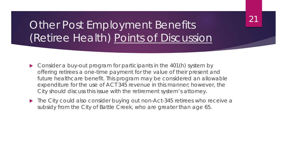## Other Post Employment Benefits (Retiree Health) Points of Discussion

- ▶ Consider a buy-out program for participants in the 401(h) system by offering retirees a one-time payment for the value of their present and future healthcare benefit. This program may be considered an allowable expenditure for the use of ACT 345 revenue in this manner; however, the City should discuss this issue with the retirement system's attorney.
- ▶ The City could also consider buying out non-Act-345 retirees who receive a subsidy from the City of Battle Creek, who are greater than age 65.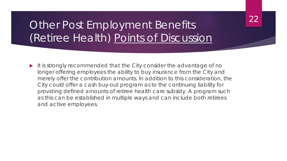## Other Post Employment Benefits (Retiree Health) Points of Discussion

 $\blacktriangleright$  It is strongly recommended that the City consider the advantage of no longer offering employees the ability to buy insurance from the City and merely offer the contribution amounts. In addition to this consideration, the City could offer a cash buy-out program as to the continuing liability for providing defined amounts of retiree health care subsidy. A program such as this can be established in multiple ways and can include both retirees and active employees.